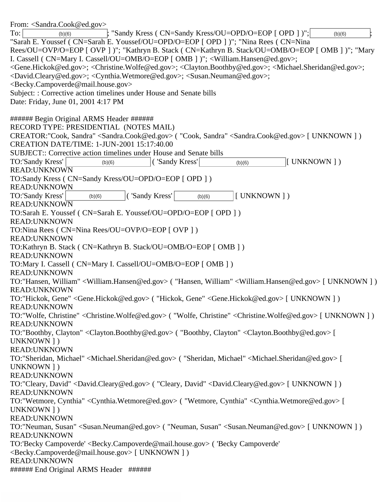From: <Sandra.Cook@ed.gov> To:  $\vert$  (b)(6)  $\vert$ ; "Sandy Kress ( CN=Sandy Kress/OU=OPD/O=EOP [ OPD ] )";  $\vert$  (b)(6)  $\vert$ ; "Sarah E. Youssef ( CN=Sarah E. Youssef/OU=OPD/O=EOP [ OPD ] )"; "Nina Rees ( CN=Nina Rees/OU=OVP/O=EOP [ OVP ] )"; "Kathryn B. Stack ( CN=Kathryn B. Stack/OU=OMB/O=EOP [ OMB ] )"; "Mary I. Cassell ( CN=Mary I. Cassell/OU=OMB/O=EOP [ OMB ] )"; <William.Hansen@ed.gov>; <Gene.Hickok@ed.gov>; <Christine.Wolfe@ed.gov>; <Clayton.Boothby@ed.gov>; <Michael.Sheridan@ed.gov>; <David.Cleary@ed.gov>; <Cynthia.Wetmore@ed.gov>; <Susan.Neuman@ed.gov>; <Becky.Campoverde@mail.house.gov> Subject: : Corrective action timelines under House and Senate bills Date: Friday, June 01, 2001 4:17 PM ###### Begin Original ARMS Header ###### RECORD TYPE: PRESIDENTIAL (NOTES MAIL) CREATOR:"Cook, Sandra" <Sandra.Cook@ed.gov> ( "Cook, Sandra" <Sandra.Cook@ed.gov> [ UNKNOWN ] ) CREATION DATE/TIME: 1-JUN-2001 15:17:40.00 SUBJECT:: Corrective action timelines under House and Senate bills TO:'Sandy Kress'  $|$  (b)(6)  $|$  ('Sandy Kress'  $|$  (b)(6)  $|$  UNKNOWN ] ) READ:UNKNOWN TO:Sandy Kress ( CN=Sandy Kress/OU=OPD/O=EOP [ OPD ] ) READ:UNKNOWN TO:'Sandy Kress' (b)(6)  $\vert$  ( 'Sandy Kress' (b)(6)  $\vert$  [ UNKNOWN ] ) READ:UNKNOWN TO:Sarah E. Youssef ( CN=Sarah E. Youssef/OU=OPD/O=EOP [ OPD ] ) READ:UNKNOWN TO:Nina Rees ( CN=Nina Rees/OU=OVP/O=EOP [ OVP ] ) READ:UNKNOWN TO:Kathryn B. Stack ( CN=Kathryn B. Stack/OU=OMB/O=EOP [ OMB ] ) READ:UNKNOWN TO:Mary I. Cassell ( CN=Mary I. Cassell/OU=OMB/O=EOP [ OMB ] ) READ:UNKNOWN TO:"Hansen, William" <William.Hansen@ed.gov> ( "Hansen, William" <William.Hansen@ed.gov> [ UNKNOWN ] ) READ:UNKNOWN TO:"Hickok, Gene" <Gene.Hickok@ed.gov> ( "Hickok, Gene" <Gene.Hickok@ed.gov> [ UNKNOWN ] ) READ:UNKNOWN TO:"Wolfe, Christine" <Christine.Wolfe@ed.gov> ( "Wolfe, Christine" <Christine.Wolfe@ed.gov> [ UNKNOWN ] ) READ:UNKNOWN TO:"Boothby, Clayton" <Clayton.Boothby@ed.gov> ( "Boothby, Clayton" <Clayton.Boothby@ed.gov> [ UNKNOWN ] ) READ:UNKNOWN TO:"Sheridan, Michael" <Michael.Sheridan@ed.gov> ( "Sheridan, Michael" <Michael.Sheridan@ed.gov> [ UNKNOWN ] ) READ:UNKNOWN TO:"Cleary, David" <David.Cleary@ed.gov> ( "Cleary, David" <David.Cleary@ed.gov> [ UNKNOWN ] ) READ:UNKNOWN TO:"Wetmore, Cynthia" <Cynthia.Wetmore@ed.gov> ( "Wetmore, Cynthia" <Cynthia.Wetmore@ed.gov> [ UNKNOWN ] ) READ:UNKNOWN TO:"Neuman, Susan" <Susan.Neuman@ed.gov> ( "Neuman, Susan" <Susan.Neuman@ed.gov> [ UNKNOWN ] ) READ:UNKNOWN TO:'Becky Campoverde' <Becky.Campoverde@mail.house.gov> ( 'Becky Campoverde' <Becky.Campoverde@mail.house.gov> [ UNKNOWN ] ) READ:UNKNOWN ###### End Original ARMS Header ###### ('Sandy Kress' ('Sandy Kress'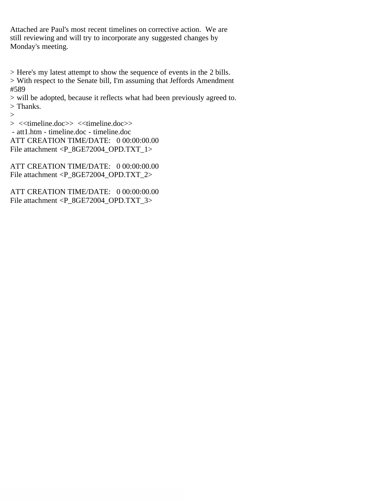Attached are Paul's most recent timelines on corrective action. We are still reviewing and will try to incorporate any suggested changes by Monday's meeting.

> Here's my latest attempt to show the sequence of events in the 2 bills.

> With respect to the Senate bill, I'm assuming that Jeffords Amendment #589

> will be adopted, because it reflects what had been previously agreed to. > Thanks.

>

> <<timeline.doc>> <<timeline.doc>> - att1.htm - timeline.doc - timeline.doc ATT CREATION TIME/DATE: 0 00:00:00.00 File attachment <P\_8GE72004\_OPD.TXT\_1>

ATT CREATION TIME/DATE: 0 00:00:00.00 File attachment <P\_8GE72004\_OPD.TXT\_2>

ATT CREATION TIME/DATE: 0 00:00:00.00 File attachment <P\_8GE72004\_OPD.TXT\_3>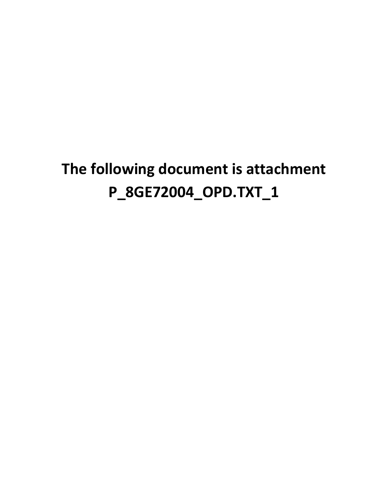# **The following document is attachment P\_8GE72004\_OPD.TXT\_1**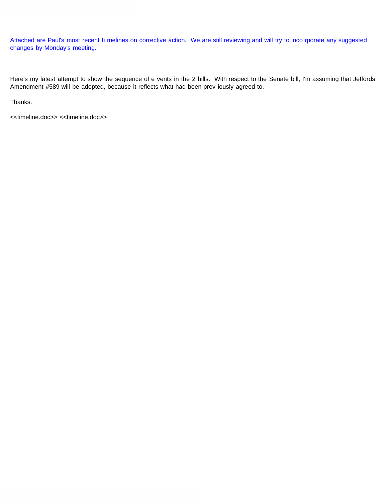Attached are Paul's most recent ti melines on corrective action. We are still reviewing and will try to inco rporate any suggested changes by Monday's meeting.

Here's my latest attempt to show the sequence of e vents in the 2 bills. With respect to the Senate bill, I'm assuming that Jeffords Amendment #589 will be adopted, because it reflects what had been prev iously agreed to.

Thanks.

<<timeline.doc>> <<timeline.doc>>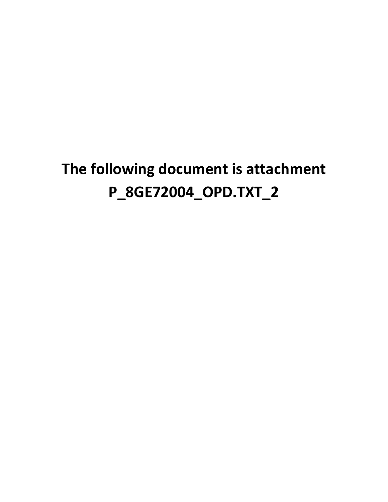# **The following document is attachment P\_8GE72004\_OPD.TXT\_2**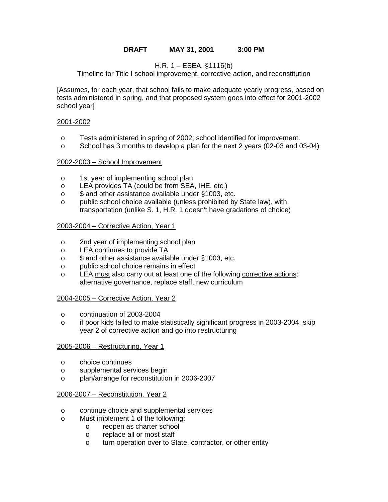# **DRAFT MAY 31, 2001 3:00 PM**

# H.R. 1 – ESEA, §1116(b)

Timeline for Title I school improvement, corrective action, and reconstitution

[Assumes, for each year, that school fails to make adequate yearly progress, based on tests administered in spring, and that proposed system goes into effect for 2001-2002 school year]

## 2001-2002

- o Tests administered in spring of 2002; school identified for improvement.
- o School has 3 months to develop a plan for the next 2 years (02-03 and 03-04)

## 2002-2003 – School Improvement

- o 1st year of implementing school plan
- o LEA provides TA (could be from SEA, IHE, etc.)
- o \$ and other assistance available under §1003, etc.
- o public school choice available (unless prohibited by State law), with transportation (unlike S. 1, H.R. 1 doesn't have gradations of choice)

## 2003-2004 – Corrective Action, Year 1

- o 2nd year of implementing school plan
- o LEA continues to provide TA
- o \$ and other assistance available under §1003, etc.
- o public school choice remains in effect
- o LEA must also carry out at least one of the following corrective actions: alternative governance, replace staff, new curriculum

## 2004-2005 – Corrective Action, Year 2

- o continuation of 2003-2004
- o if poor kids failed to make statistically significant progress in 2003-2004, skip year 2 of corrective action and go into restructuring

## 2005-2006 – Restructuring, Year 1

- o choice continues
- o supplemental services begin
- o plan/arrange for reconstitution in 2006-2007

## 2006-2007 – Reconstitution, Year 2

- o continue choice and supplemental services
- o Must implement 1 of the following:
	- o reopen as charter school
	- o replace all or most staff
	- o turn operation over to State, contractor, or other entity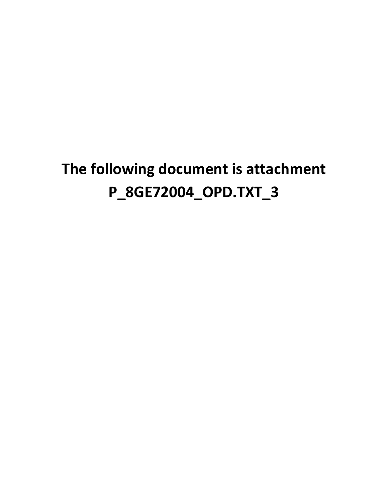# **The following document is attachment P\_8GE72004\_OPD.TXT\_3**